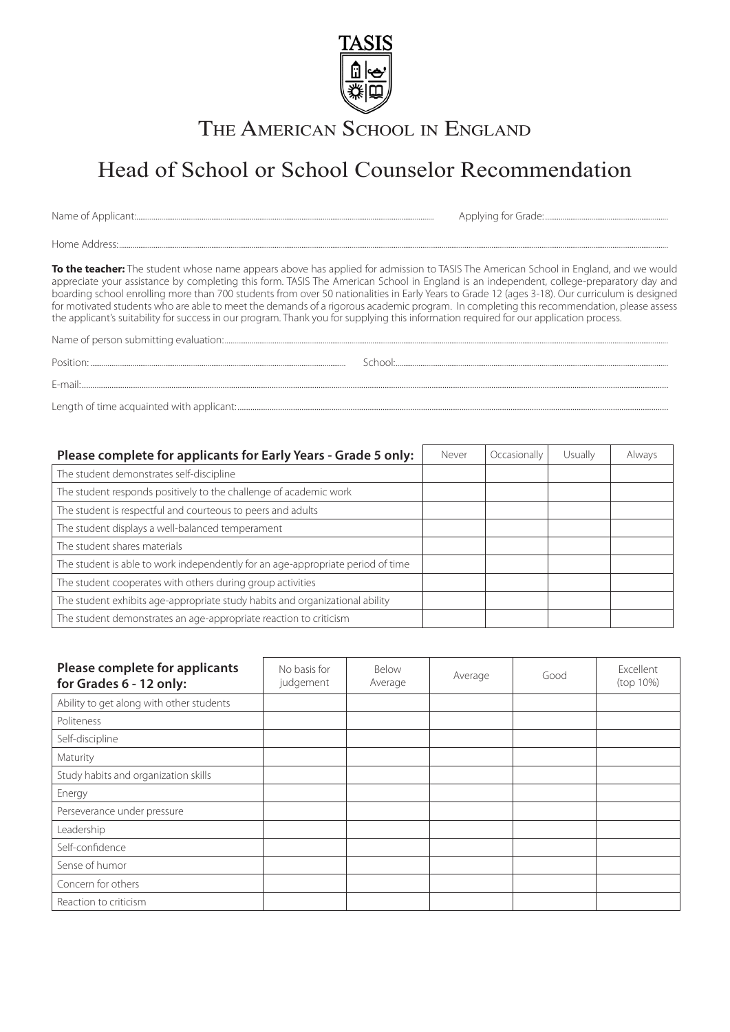

THE AMERICAN SCHOOL IN ENGLAND

## Head of School or School Counselor Recommendation

Name of Applicant:........................................................................................................................................................... Applying for Grade: ................................................................

Home Address:..............................................................................................................................................................................................................................................................................................

**To the teacher:** The student whose name appears above has applied for admission to TASIS The American School in England, and we would appreciate your assistance by completing this form. TASIS The American School in England is an independent, college-preparatory day and boarding school enrolling more than 700 students from over 50 nationalities in Early Years to Grade 12 (ages 3-18). Our curriculum is designed for motivated students who are able to meet the demands of a rigorous academic program. In completing this recommendation, please assess the applicant's suitability for success in our program. Thank you for supplying this information required for our application process.

Name of person submitting evaluation:.......................................................................................................................................................................................................................................

E-mail:...................................................................................................................................................................................................................................................................................

Position: School: School: School: School: School: School: School: School: School: School: School: School: School: School: School: School: School: School: School: School: School: School: School: School: School: School: Scho

Length of time acquainted with applicant: ..........................................................................................................................................................................................................

| Please complete for applicants for Early Years - Grade 5 only:                  | Never | Occasionally | Usually | Always |
|---------------------------------------------------------------------------------|-------|--------------|---------|--------|
| The student demonstrates self-discipline                                        |       |              |         |        |
| The student responds positively to the challenge of academic work               |       |              |         |        |
| The student is respectful and courteous to peers and adults                     |       |              |         |        |
| The student displays a well-balanced temperament                                |       |              |         |        |
| The student shares materials                                                    |       |              |         |        |
| The student is able to work independently for an age-appropriate period of time |       |              |         |        |
| The student cooperates with others during group activities                      |       |              |         |        |
| The student exhibits age-appropriate study habits and organizational ability    |       |              |         |        |
| The student demonstrates an age-appropriate reaction to criticism               |       |              |         |        |

| Please complete for applicants<br>for Grades 6 - 12 only: | No basis for<br>judgement | Below<br>Average | Average | Good | Excellent<br>(top 10%) |
|-----------------------------------------------------------|---------------------------|------------------|---------|------|------------------------|
| Ability to get along with other students                  |                           |                  |         |      |                        |
| Politeness                                                |                           |                  |         |      |                        |
| Self-discipline                                           |                           |                  |         |      |                        |
| Maturity                                                  |                           |                  |         |      |                        |
| Study habits and organization skills                      |                           |                  |         |      |                        |
| Energy                                                    |                           |                  |         |      |                        |
| Perseverance under pressure                               |                           |                  |         |      |                        |
| Leadership                                                |                           |                  |         |      |                        |
| Self-confidence                                           |                           |                  |         |      |                        |
| Sense of humor                                            |                           |                  |         |      |                        |
| Concern for others                                        |                           |                  |         |      |                        |
| Reaction to criticism                                     |                           |                  |         |      |                        |